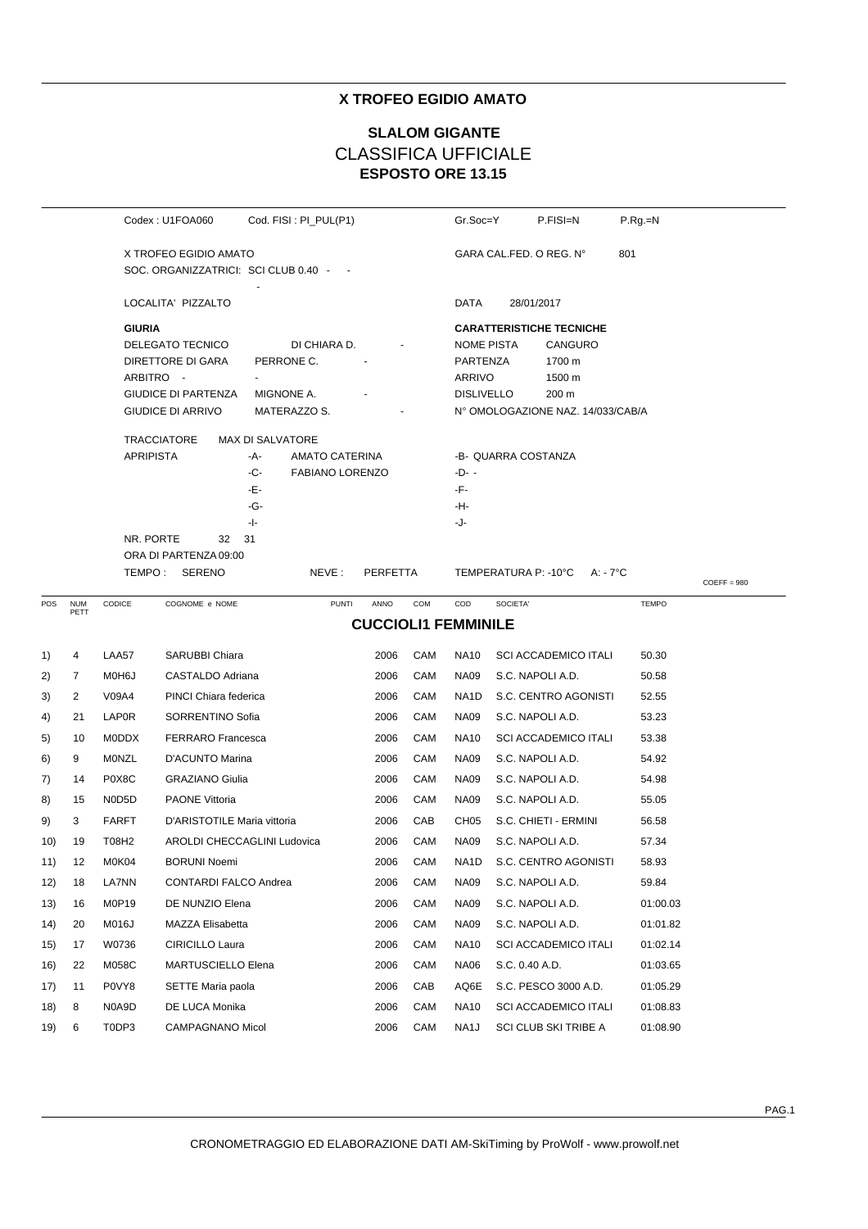# **X TROFEO EGIDIO AMATO**

# **ESPOSTO ORE 13.15 SLALOM GIGANTE** CLASSIFICA UFFICIALE

| Codex: U1FOA060           |                                        | Cod. FISI: PI_PUL(P1)  |                            | Gr.Soc=Y | P.FISI=N          | $P.Rg=N$                          |              |               |
|---------------------------|----------------------------------------|------------------------|----------------------------|----------|-------------------|-----------------------------------|--------------|---------------|
|                           | X TROFEO EGIDIO AMATO                  |                        |                            |          |                   | GARA CAL FED. O REG. N°           | 801          |               |
|                           | SOC. ORGANIZZATRICI: SCI CLUB 0.40 - - |                        |                            |          |                   |                                   |              |               |
| LOCALITA' PIZZALTO        |                                        |                        |                            |          | DATA              | 28/01/2017                        |              |               |
| <b>GIURIA</b>             |                                        |                        |                            |          |                   | <b>CARATTERISTICHE TECNICHE</b>   |              |               |
| DELEGATO TECNICO          |                                        | DI CHIARA D.           |                            |          | <b>NOME PISTA</b> | CANGURO                           |              |               |
| DIRETTORE DI GARA         |                                        | PERRONE C.             |                            |          | PARTENZA          | 1700 m                            |              |               |
| ARBITRO -                 |                                        |                        |                            |          | <b>ARRIVO</b>     | 1500 m                            |              |               |
|                           | <b>GIUDICE DI PARTENZA</b>             | MIGNONE A.             |                            |          | <b>DISLIVELLO</b> | 200 m                             |              |               |
| GIUDICE DI ARRIVO         |                                        | MATERAZZO S.           |                            |          |                   | N° OMOLOGAZIONE NAZ. 14/033/CAB/A |              |               |
| <b>TRACCIATORE</b>        | <b>MAX DI SALVATORE</b>                |                        |                            |          |                   |                                   |              |               |
| <b>APRIPISTA</b>          | -A-                                    | AMATO CATERINA         |                            |          |                   | -B- QUARRA COSTANZA               |              |               |
|                           | -C-                                    | <b>FABIANO LORENZO</b> |                            |          | -D- -             |                                   |              |               |
|                           | -Е-                                    |                        |                            |          | -F-               |                                   |              |               |
|                           | -G-                                    |                        |                            |          | -H-               |                                   |              |               |
| NR. PORTE                 | -1-<br>31<br>32                        |                        |                            |          | -J-               |                                   |              |               |
|                           | ORA DI PARTENZA 09:00                  |                        |                            |          |                   |                                   |              |               |
| TEMPO: SERENO             |                                        | NEVE:                  | PERFETTA                   |          |                   | TEMPERATURA P: -10°C<br>A: - 7°C  |              |               |
| CODICE                    |                                        | <b>PUNTI</b>           | ANNO                       | COM      | COD               |                                   | <b>TEMPO</b> | $COEFF = 980$ |
| <b>NUM</b><br>POS<br>PETT | COGNOME e NOME                         |                        | <b>CUCCIOLI1 FEMMINILE</b> |          |                   | SOCIETA'                          |              |               |
|                           |                                        |                        |                            |          |                   |                                   |              |               |
| LAA57<br>1)<br>4          | SARUBBI Chiara                         |                        | 2006                       | CAM      | <b>NA10</b>       | <b>SCI ACCADEMICO ITALI</b>       | 50.30        |               |
| 2)<br>7<br>M0H6J          | CASTALDO Adriana                       |                        | 2006                       | CAM      | <b>NA09</b>       | S.C. NAPOLI A.D.                  | 50.58        |               |
| 2<br>V09A4<br>3)          | PINCI Chiara federica                  |                        | 2006                       | CAM      | NA1D              | S.C. CENTRO AGONISTI              | 52.55        |               |
| <b>LAP0R</b><br>21<br>4)  | SORRENTINO Sofia                       |                        | 2006                       | CAM      | <b>NA09</b>       | S.C. NAPOLI A.D.                  | 53.23        |               |
| <b>MODDX</b><br>5)<br>10  | <b>FERRARO</b> Francesca               |                        | 2006                       | CAM      | <b>NA10</b>       | <b>SCI ACCADEMICO ITALI</b>       | 53.38        |               |
| 9<br><b>MONZL</b><br>6)   | D'ACUNTO Marina                        |                        | 2006                       | CAM      | <b>NA09</b>       | S.C. NAPOLI A.D.                  | 54.92        |               |
| P0X8C<br>7)<br>14         | <b>GRAZIANO Giulia</b>                 |                        | 2006                       | CAM      | <b>NA09</b>       | S.C. NAPOLI A.D.                  | 54.98        |               |
| N0D5D<br>8)<br>15         | <b>PAONE Vittoria</b>                  |                        | 2006                       | CAM      | <b>NA09</b>       | S.C. NAPOLI A.D.                  | 55.05        |               |
| 9)<br>3<br><b>FARFT</b>   | D'ARISTOTILE Maria vittoria            |                        | 2006                       | CAB      | CH <sub>05</sub>  | S.C. CHIETI - ERMINI              | 56.58        |               |
| 19<br>T08H2<br>10)        | AROLDI CHECCAGLINI Ludovica            |                        | 2006                       | CAM      | <b>NA09</b>       | S.C. NAPOLI A.D.                  | 57.34        |               |
| 12<br>M0K04<br>11)        | <b>BORUNI Noemi</b>                    |                        | 2006                       | CAM      | NA <sub>1</sub> D | S.C. CENTRO AGONISTI              | 58.93        |               |
| LA7NN<br>12)<br>18        |                                        |                        |                            |          |                   |                                   |              |               |
|                           | CONTARDI FALCO Andrea                  |                        | 2006                       | CAM      | <b>NA09</b>       | S.C. NAPOLI A.D.                  | 59.84        |               |
| M0P19<br>13)<br>16        | DE NUNZIO Elena                        |                        | 2006                       | CAM      | <b>NA09</b>       | S.C. NAPOLI A.D.                  | 01:00.03     |               |
| 14)<br>20<br>M016J        | MAZZA Elisabetta                       |                        | 2006                       | CAM      | <b>NA09</b>       | S.C. NAPOLI A.D.                  | 01:01.82     |               |
| W0736<br>15)<br>17        | CIRICILLO Laura                        |                        | 2006                       | CAM      | <b>NA10</b>       | <b>SCI ACCADEMICO ITALI</b>       | 01:02.14     |               |
| 16)<br>22<br>M058C        | MARTUSCIELLO Elena                     |                        | 2006                       | CAM      | <b>NA06</b>       | S.C. 0.40 A.D.                    | 01:03.65     |               |
| P0VY8<br>17)<br>11        | SETTE Maria paola                      |                        | 2006                       | CAB      | AQ6E              | S.C. PESCO 3000 A.D.              | 01:05.29     |               |
| 18)<br>8<br>N0A9D         | DE LUCA Monika                         |                        | 2006                       | CAM      | <b>NA10</b>       | <b>SCI ACCADEMICO ITALI</b>       | 01:08.83     |               |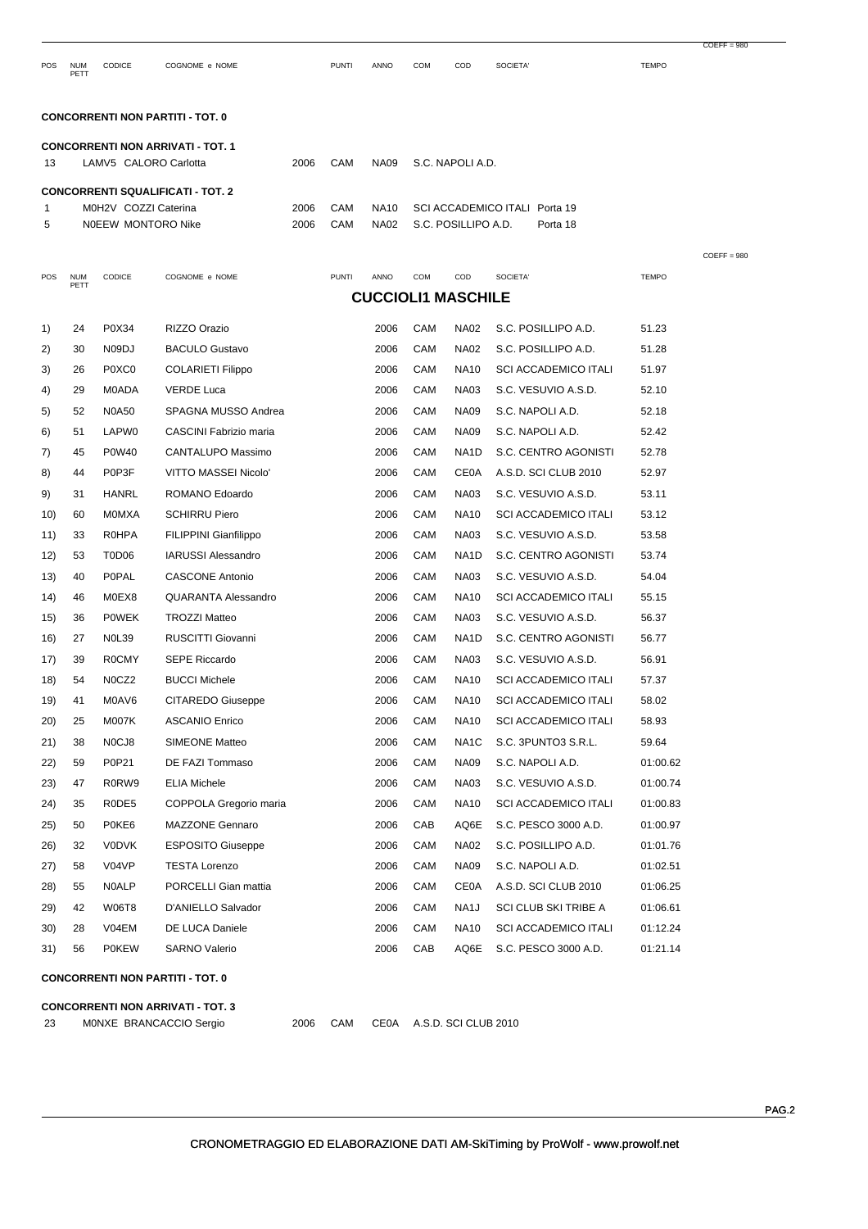POS NUM PETT CODICE COGNOME e NOME PUNTI ANNO COM COD SOCIETA' TEMPO

 $COEFF = 980$ 

COEFF = 980

## **CONCORRENTI NON PARTITI - TOT. 0**

|    | <b>CONCORRENTI NON ARRIVATI - TOT. 1</b> |      |     |  |                                    |          |  |  |  |  |  |  |  |  |
|----|------------------------------------------|------|-----|--|------------------------------------|----------|--|--|--|--|--|--|--|--|
| 13 | LAMV5 CALORO Carlotta                    | 2006 | CAM |  | NA09 S.C. NAPOLIA.D.               |          |  |  |  |  |  |  |  |  |
|    |                                          |      |     |  |                                    |          |  |  |  |  |  |  |  |  |
|    | <b>CONCORRENTI SQUALIFICATI - TOT. 2</b> |      |     |  |                                    |          |  |  |  |  |  |  |  |  |
|    | M0H2V COZZI Caterina                     | 2006 | CAM |  | NA10 SCI ACCADEMICO ITALI Porta 19 |          |  |  |  |  |  |  |  |  |
| 5  | NOEEW MONTORO Nike                       | 2006 | CAM |  | NA02 S.C. POSILLIPO A.D.           | Porta 18 |  |  |  |  |  |  |  |  |

| POS  | <b>NUM</b><br>PETT | CODICE       | COGNOME e NOME                           | <b>PUNTI</b> | ANNO                      | COM | COD                  | SOCIETA'                    | <b>TEMPO</b> |
|------|--------------------|--------------|------------------------------------------|--------------|---------------------------|-----|----------------------|-----------------------------|--------------|
|      |                    |              |                                          |              | <b>CUCCIOLI1 MASCHILE</b> |     |                      |                             |              |
| 1)   | 24                 | P0X34        | RIZZO Orazio                             |              | 2006                      | CAM | <b>NA02</b>          | S.C. POSILLIPO A.D.         | 51.23        |
| 2)   | 30                 | N09DJ        | <b>BACULO Gustavo</b>                    |              | 2006                      | CAM | <b>NA02</b>          | S.C. POSILLIPO A.D.         | 51.28        |
| 3)   | 26                 | P0XC0        | <b>COLARIETI Filippo</b>                 |              | 2006                      | CAM | <b>NA10</b>          | <b>SCI ACCADEMICO ITALI</b> | 51.97        |
| 4)   | 29                 | M0ADA        | <b>VERDE Luca</b>                        |              | 2006                      | CAM | <b>NA03</b>          | S.C. VESUVIO A.S.D.         | 52.10        |
| 5)   | 52                 | <b>N0A50</b> | SPAGNA MUSSO Andrea                      |              | 2006                      | CAM | <b>NA09</b>          | S.C. NAPOLI A.D.            | 52.18        |
| 6)   | 51                 | LAPW0        | CASCINI Fabrizio maria                   |              | 2006                      | CAM | <b>NA09</b>          | S.C. NAPOLI A.D.            | 52.42        |
| 7)   | 45                 | P0W40        | CANTALUPO Massimo                        |              | 2006                      | CAM | NA <sub>1</sub> D    | S.C. CENTRO AGONISTI        | 52.78        |
| 8)   | 44                 | P0P3F        | VITTO MASSEI Nicolo'                     |              | 2006                      | CAM | <b>CE0A</b>          | A.S.D. SCI CLUB 2010        | 52.97        |
| 9)   | 31                 | <b>HANRL</b> | ROMANO Edoardo                           |              | 2006                      | CAM | <b>NA03</b>          | S.C. VESUVIO A.S.D.         | 53.11        |
| 10)  | 60                 | MOMXA        | <b>SCHIRRU Piero</b>                     |              | 2006                      | CAM | <b>NA10</b>          | <b>SCI ACCADEMICO ITALI</b> | 53.12        |
| 11)  | 33                 | <b>R0HPA</b> | FILIPPINI Gianfilippo                    |              | 2006                      | CAM | <b>NA03</b>          | S.C. VESUVIO A.S.D.         | 53.58        |
| 12)  | 53                 | T0D06        | <b>IARUSSI Alessandro</b>                |              | 2006                      | CAM | NA <sub>1</sub> D    | S.C. CENTRO AGONISTI        | 53.74        |
| (13) | 40                 | <b>POPAL</b> | <b>CASCONE Antonio</b>                   |              | 2006                      | CAM | <b>NA03</b>          | S.C. VESUVIO A.S.D.         | 54.04        |
| 14)  | 46                 | M0EX8        | <b>QUARANTA Alessandro</b>               |              | 2006                      | CAM | <b>NA10</b>          | <b>SCI ACCADEMICO ITALI</b> | 55.15        |
| 15)  | 36                 | <b>POWEK</b> | <b>TROZZI Matteo</b>                     |              | 2006                      | CAM | <b>NA03</b>          | S.C. VESUVIO A.S.D.         | 56.37        |
| 16)  | 27                 | <b>N0L39</b> | RUSCITTI Giovanni                        |              | 2006                      | CAM | NA1D                 | S.C. CENTRO AGONISTI        | 56.77        |
| 17)  | 39                 | <b>ROCMY</b> | <b>SEPE Riccardo</b>                     |              | 2006                      | CAM | <b>NA03</b>          | S.C. VESUVIO A.S.D.         | 56.91        |
| 18)  | 54                 | N0CZ2        | <b>BUCCI Michele</b>                     |              | 2006                      | CAM | <b>NA10</b>          | <b>SCI ACCADEMICO ITALI</b> | 57.37        |
| 19)  | 41                 | M0AV6        | <b>CITAREDO Giuseppe</b>                 |              | 2006                      | CAM | <b>NA10</b>          | <b>SCI ACCADEMICO ITALI</b> | 58.02        |
| 20)  | 25                 | <b>M007K</b> | <b>ASCANIO Enrico</b>                    |              | 2006                      | CAM | <b>NA10</b>          | <b>SCI ACCADEMICO ITALI</b> | 58.93        |
| 21)  | 38                 | N0CJ8        | <b>SIMEONE Matteo</b>                    |              | 2006                      | CAM | NA <sub>1</sub> C    | S.C. 3PUNTO3 S.R.L.         | 59.64        |
| 22)  | 59                 | P0P21        | DE FAZI Tommaso                          |              | 2006                      | CAM | <b>NA09</b>          | S.C. NAPOLI A.D.            | 01:00.62     |
| (23) | 47                 | R0RW9        | <b>ELIA Michele</b>                      |              | 2006                      | CAM | <b>NA03</b>          | S.C. VESUVIO A.S.D.         | 01:00.74     |
| 24)  | 35                 | R0DE5        | COPPOLA Gregorio maria                   |              | 2006                      | CAM | <b>NA10</b>          | <b>SCI ACCADEMICO ITALI</b> | 01:00.83     |
| 25)  | 50                 | P0KE6        | <b>MAZZONE Gennaro</b>                   |              | 2006                      | CAB | AQ6E                 | S.C. PESCO 3000 A.D.        | 01:00.97     |
| 26)  | 32                 | <b>V0DVK</b> | <b>ESPOSITO Giuseppe</b>                 |              | 2006                      | CAM | <b>NA02</b>          | S.C. POSILLIPO A.D.         | 01:01.76     |
| 27)  | 58                 | V04VP        | <b>TESTA Lorenzo</b>                     |              | 2006                      | CAM | <b>NA09</b>          | S.C. NAPOLI A.D.            | 01:02.51     |
| 28)  | 55                 | <b>N0ALP</b> | PORCELLI Gian mattia                     |              | 2006                      | CAM | <b>CE0A</b>          | A.S.D. SCI CLUB 2010        | 01:06.25     |
| 29)  | 42                 | <b>W06T8</b> | D'ANIELLO Salvador                       |              | 2006                      | CAM | NA <sub>1</sub> J    | SCI CLUB SKI TRIBE A        | 01:06.61     |
| 30)  | 28                 | V04EM        | DE LUCA Daniele                          |              | 2006                      | CAM | <b>NA10</b>          | <b>SCI ACCADEMICO ITALI</b> | 01:12.24     |
| 31)  | 56                 | <b>POKEW</b> | <b>SARNO Valerio</b>                     |              | 2006                      | CAB | AQ6E                 | S.C. PESCO 3000 A.D.        | 01:21.14     |
|      |                    |              | <b>CONCORRENTI NON PARTITI - TOT. 0</b>  |              |                           |     |                      |                             |              |
|      |                    |              | <b>CONCORRENTI NON ARRIVATI - TOT. 3</b> |              |                           |     |                      |                             |              |
| 23   |                    |              | 2006<br>MONXE BRANCACCIO Sergio          | CAM          | <b>CE0A</b>               |     | A.S.D. SCI CLUB 2010 |                             |              |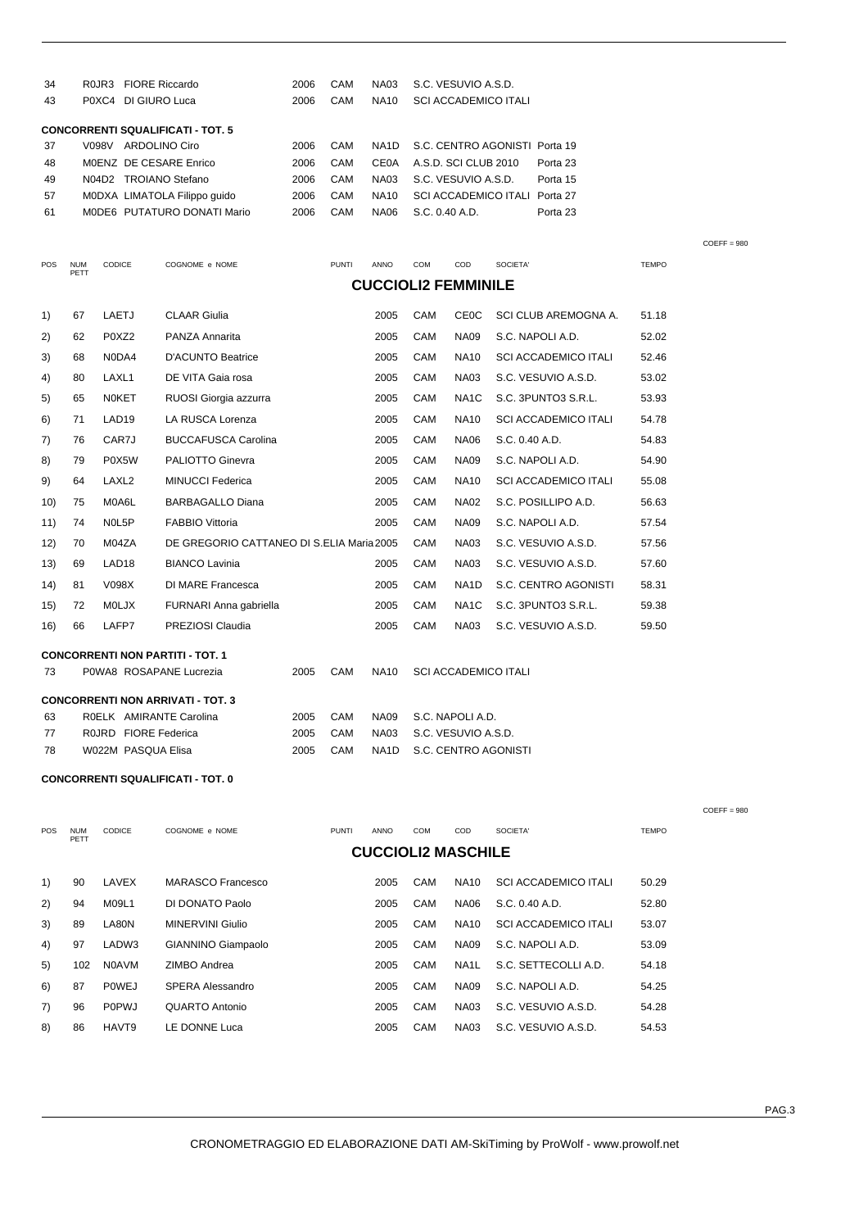| 34  |                    | R0JR3 FIORE Riccardo   |                                           | 2006 | CAM          | <b>NA03</b>       |     | S.C. VESUVIO A.S.D.         |                |                               |              |
|-----|--------------------|------------------------|-------------------------------------------|------|--------------|-------------------|-----|-----------------------------|----------------|-------------------------------|--------------|
| 43  |                    | P0XC4 DI GIURO Luca    |                                           | 2006 | CAM          | <b>NA10</b>       |     | <b>SCI ACCADEMICO ITALI</b> |                |                               |              |
|     |                    |                        | <b>CONCORRENTI SQUALIFICATI - TOT. 5</b>  |      |              |                   |     |                             |                |                               |              |
| 37  |                    | V098V ARDOLINO Ciro    |                                           | 2006 | CAM          | NA <sub>1</sub> D |     |                             |                | S.C. CENTRO AGONISTI Porta 19 |              |
| 48  |                    | MOENZ DE CESARE Enrico |                                           | 2006 | CAM          | <b>CE0A</b>       |     | A.S.D. SCI CLUB 2010        |                | Porta 23                      |              |
| 49  |                    | N04D2 TROIANO Stefano  |                                           | 2006 | CAM          | <b>NA03</b>       |     | S.C. VESUVIO A.S.D.         |                | Porta 15                      |              |
| 57  |                    |                        | MODXA LIMATOLA Filippo quido              | 2006 | CAM          | <b>NA10</b>       |     |                             |                | SCI ACCADEMICO ITALI Porta 27 |              |
| 61  |                    |                        | MODE6 PUTATURO DONATI Mario               | 2006 | CAM          | <b>NA06</b>       |     | S.C. 0.40 A.D.              |                | Porta 23                      |              |
|     |                    |                        |                                           |      |              |                   |     |                             |                |                               |              |
| POS | <b>NUM</b><br>PETT | <b>CODICE</b>          | COGNOME e NOME                            |      | <b>PUNTI</b> | <b>ANNO</b>       | COM | COD                         | SOCIETA'       |                               | <b>TEMPO</b> |
|     |                    |                        |                                           |      |              |                   |     | <b>CUCCIOLI2 FEMMINILE</b>  |                |                               |              |
| 1)  | 67                 | LAETJ                  | <b>CLAAR Giulia</b>                       |      |              | 2005              | CAM | <b>CEOC</b>                 |                | SCI CLUB AREMOGNA A.          | 51.18        |
| 2)  | 62                 | P0XZ2                  | PANZA Annarita                            |      |              | 2005              | CAM | <b>NA09</b>                 |                | S.C. NAPOLI A.D.              | 52.02        |
| 3)  | 68                 | N0DA4                  | <b>D'ACUNTO Beatrice</b>                  |      |              | 2005              | CAM | <b>NA10</b>                 |                | <b>SCI ACCADEMICO ITALI</b>   | 52.46        |
| 4)  | 80                 | LAXL1                  | DE VITA Gaia rosa                         |      |              | 2005              | CAM | <b>NA03</b>                 |                | S.C. VESUVIO A.S.D.           | 53.02        |
| 5)  | 65                 | <b>NOKET</b>           | RUOSI Giorgia azzurra                     |      |              | 2005              | CAM | NA <sub>1</sub> C           |                | S.C. 3PUNTO3 S.R.L.           | 53.93        |
| 6)  | 71                 | LAD <sub>19</sub>      | LA RUSCA Lorenza                          |      |              | 2005              | CAM | <b>NA10</b>                 |                | <b>SCI ACCADEMICO ITALI</b>   | 54.78        |
| 7)  | 76                 | CAR7J                  | <b>BUCCAFUSCA Carolina</b>                |      |              | 2005              | CAM | <b>NA06</b>                 | S.C. 0.40 A.D. |                               | 54.83        |
| 8)  | 79                 | P0X5W                  | PALIOTTO Ginevra                          |      |              | 2005              | CAM | <b>NA09</b>                 |                | S.C. NAPOLI A.D.              | 54.90        |
| 9)  | 64                 | LAXL <sub>2</sub>      | <b>MINUCCI Federica</b>                   |      |              | 2005              | CAM | <b>NA10</b>                 |                | <b>SCI ACCADEMICO ITALI</b>   | 55.08        |
| 10) | 75                 | M0A6L                  | <b>BARBAGALLO Diana</b>                   |      |              | 2005              | CAM | <b>NA02</b>                 |                | S.C. POSILLIPO A.D.           | 56.63        |
| 11) | 74                 | NOL5P                  | <b>FABBIO Vittoria</b>                    |      |              | 2005              | CAM | <b>NA09</b>                 |                | S.C. NAPOLI A.D.              | 57.54        |
| 12) | 70                 | M04ZA                  | DE GREGORIO CATTANEO DI S.ELIA Maria 2005 |      |              |                   | CAM | <b>NA03</b>                 |                | S.C. VESUVIO A.S.D.           | 57.56        |
| 13) | 69                 | LAD <sub>18</sub>      | <b>BIANCO Lavinia</b>                     |      |              | 2005              | CAM | <b>NA03</b>                 |                | S.C. VESUVIO A.S.D.           | 57.60        |
| 14) | 81                 | V098X                  | DI MARE Francesca                         |      |              | 2005              | CAM | NA1D                        |                | S.C. CENTRO AGONISTI          | 58.31        |
| 15) | 72                 | <b>MOLJX</b>           | FURNARI Anna gabriella                    |      |              | 2005              | CAM | NA <sub>1</sub> C           |                | S.C. 3PUNTO3 S.R.L.           | 59.38        |

16) 66 LAFP7 PREZIOSI Claudia 2005 CAM NA03 S.C. VESUVIO A.S.D. 59.50

| <b>CONCORRENTI NON PARTITI - TOT. 1</b> |  |  |
|-----------------------------------------|--|--|
|                                         |  |  |

| P0WA8 ROSAPANE Lucrezia<br>-73<br>- SCI ACCADEMICO ITALI<br>NA10<br>CAM<br>2005<br><b>CONCORRENTI NON ARRIVATI - TOT. 3</b><br>ROELK AMIRANTE Carolina<br>NA09 S.C. NAPOLIA.D.<br>63<br>CAM<br>2005<br>ROJRD FIORE Federica<br>NA03 S.C. VESUVIO A.S.D.<br>CAM<br>77<br>2005<br>W022M PASQUA Elisa<br>78<br>NA1D S.C. CENTRO AGONISTI<br>CAM<br>2005 |  |  |  |
|------------------------------------------------------------------------------------------------------------------------------------------------------------------------------------------------------------------------------------------------------------------------------------------------------------------------------------------------------|--|--|--|
|                                                                                                                                                                                                                                                                                                                                                      |  |  |  |
|                                                                                                                                                                                                                                                                                                                                                      |  |  |  |
|                                                                                                                                                                                                                                                                                                                                                      |  |  |  |
|                                                                                                                                                                                                                                                                                                                                                      |  |  |  |
|                                                                                                                                                                                                                                                                                                                                                      |  |  |  |

#### **CONCORRENTI SQUALIFICATI - TOT. 0**

|            |                    |               |                         |              |      |            |                           |                             |              | $COEFF = 980$ |
|------------|--------------------|---------------|-------------------------|--------------|------|------------|---------------------------|-----------------------------|--------------|---------------|
| <b>POS</b> | <b>NUM</b><br>PETT | <b>CODICE</b> | COGNOME e NOME          | <b>PUNTI</b> | ANNO | <b>COM</b> | COD                       | SOCIETA'                    | <b>TEMPO</b> |               |
|            |                    |               |                         |              |      |            | <b>CUCCIOLI2 MASCHILE</b> |                             |              |               |
| 1)         | 90                 | LAVEX         | MARASCO Francesco       |              | 2005 | CAM        | <b>NA10</b>               | <b>SCI ACCADEMICO ITALI</b> | 50.29        |               |
| 2)         | 94                 | M09L1         | DI DONATO Paolo         |              | 2005 | <b>CAM</b> | <b>NA06</b>               | S.C. 0.40 A.D.              | 52.80        |               |
| 3)         | 89                 | LA80N         | <b>MINERVINI Giulio</b> |              | 2005 | CAM        | <b>NA10</b>               | <b>SCI ACCADEMICO ITALI</b> | 53.07        |               |
| 4)         | 97                 | LADW3         | GIANNINO Giampaolo      |              | 2005 | <b>CAM</b> | <b>NA09</b>               | S.C. NAPOLI A.D.            | 53.09        |               |
| 5)         | 102                | <b>N0AVM</b>  | ZIMBO Andrea            |              | 2005 | CAM        | NA <sub>1</sub> L         | S.C. SETTECOLLI A.D.        | 54.18        |               |
| 6)         | 87                 | POWEJ         | <b>SPERA Alessandro</b> |              | 2005 | <b>CAM</b> | <b>NA09</b>               | S.C. NAPOLI A.D.            | 54.25        |               |
| 7)         | 96                 | <b>P0PWJ</b>  | QUARTO Antonio          |              | 2005 | CAM        | <b>NA03</b>               | S.C. VESUVIO A.S.D.         | 54.28        |               |
| 8)         | 86                 | HAVT9         | LE DONNE Luca           |              | 2005 | CAM        | <b>NA03</b>               | S.C. VESUVIO A.S.D.         | 54.53        |               |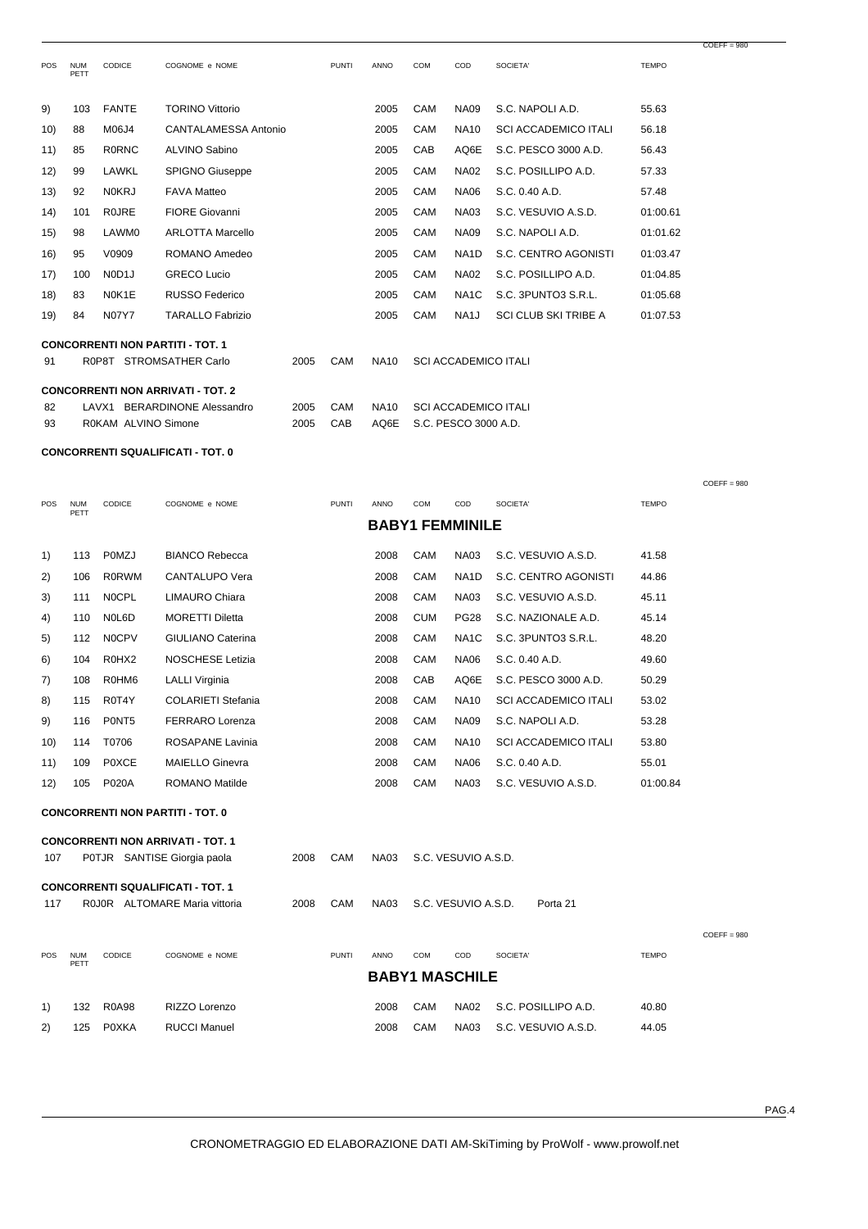| POS  | <b>NUM</b><br>PETT | CODICE              | COGNOME e NOME                           |      | <b>PUNTI</b> | <b>ANNO</b> | COM | COD                         | SOCIETA'                    | <b>TEMPO</b> |
|------|--------------------|---------------------|------------------------------------------|------|--------------|-------------|-----|-----------------------------|-----------------------------|--------------|
| 9)   | 103                | <b>FANTE</b>        | <b>TORINO Vittorio</b>                   |      |              | 2005        | CAM | <b>NA09</b>                 | S.C. NAPOLI A.D.            | 55.63        |
| 10)  | 88                 | M06J4               | CANTALAMESSA Antonio                     |      |              | 2005        | CAM | <b>NA10</b>                 | <b>SCI ACCADEMICO ITALI</b> | 56.18        |
| 11)  | 85                 | <b>RORNC</b>        | <b>ALVINO Sabino</b>                     |      |              | 2005        | CAB | AQ6E                        | S.C. PESCO 3000 A.D.        | 56.43        |
| 12)  | 99                 | LAWKL               | <b>SPIGNO Giuseppe</b>                   |      |              | 2005        | CAM | <b>NA02</b>                 | S.C. POSILLIPO A.D.         | 57.33        |
| 13)  | 92                 | <b>NOKRJ</b>        | <b>FAVA Matteo</b>                       |      |              | 2005        | CAM | <b>NA06</b>                 | S.C. 0.40 A.D.              | 57.48        |
| (14) | 101                | <b>ROJRE</b>        | <b>FIORE Giovanni</b>                    |      |              | 2005        | CAM | <b>NA03</b>                 | S.C. VESUVIO A.S.D.         | 01:00.61     |
| 15)  | 98                 | LAWM0               | <b>ARLOTTA Marcello</b>                  |      |              | 2005        | CAM | <b>NA09</b>                 | S.C. NAPOLI A.D.            | 01:01.62     |
| 16)  | 95                 | V0909               | ROMANO Amedeo                            |      |              | 2005        | CAM | NA <sub>1</sub> D           | S.C. CENTRO AGONISTI        | 01:03.47     |
| 17)  | 100                | N0D <sub>1</sub> J  | <b>GRECO Lucio</b>                       |      |              | 2005        | CAM | <b>NA02</b>                 | S.C. POSILLIPO A.D.         | 01:04.85     |
| 18)  | 83                 | N0K1E               | <b>RUSSO Federico</b>                    |      |              | 2005        | CAM | NA <sub>1</sub> C           | S.C. 3PUNTO3 S.R.L.         | 01:05.68     |
| 19)  | 84                 | <b>N07Y7</b>        | <b>TARALLO Fabrizio</b>                  |      |              | 2005        | CAM | NA <sub>1</sub> J           | <b>SCI CLUB SKI TRIBE A</b> | 01:07.53     |
|      |                    |                     | <b>CONCORRENTI NON PARTITI - TOT. 1</b>  |      |              |             |     |                             |                             |              |
| 91   |                    |                     | R0P8T STROMSATHER Carlo                  | 2005 | CAM          | <b>NA10</b> |     | <b>SCI ACCADEMICO ITALI</b> |                             |              |
|      |                    |                     | <b>CONCORRENTI NON ARRIVATI - TOT. 2</b> |      |              |             |     |                             |                             |              |
| 82   | LAVX1              |                     | BERARDINONE Alessandro                   | 2005 | CAM          | <b>NA10</b> |     | <b>SCI ACCADEMICO ITALI</b> |                             |              |
| 93   |                    | R0KAM ALVINO Simone |                                          | 2005 | CAB          | AQ6E        |     | S.C. PESCO 3000 A.D.        |                             |              |

## **CONCORRENTI SQUALIFICATI - TOT. 0**

| <b>POS</b> | <b>NUM</b><br>PETT | CODICE       | COGNOME e NOME            | <b>PUNTI</b> | <b>ANNO</b>            | COM        | COD               | SOCIETA'                    | <b>TEMPO</b> |
|------------|--------------------|--------------|---------------------------|--------------|------------------------|------------|-------------------|-----------------------------|--------------|
|            |                    |              |                           |              | <b>BABY1 FEMMINILE</b> |            |                   |                             |              |
| 1)         | 113                | POMZJ        | <b>BIANCO Rebecca</b>     |              | 2008                   | CAM        | <b>NA03</b>       | S.C. VESUVIO A.S.D.         | 41.58        |
| 2)         | 106                | <b>R0RWM</b> | CANTALUPO Vera            |              | 2008                   | CAM        | NA <sub>1</sub> D | S.C. CENTRO AGONISTI        | 44.86        |
| 3)         | 111                | <b>NOCPL</b> | LIMAURO Chiara            |              | 2008                   | CAM        | <b>NA03</b>       | S.C. VESUVIO A.S.D.         | 45.11        |
| 4)         | 110                | N0L6D        | <b>MORETTI Diletta</b>    |              | 2008                   | <b>CUM</b> | <b>PG28</b>       | S.C. NAZIONALE A.D.         | 45.14        |
| 5)         | 112                | <b>NOCPV</b> | <b>GIULIANO Caterina</b>  |              | 2008                   | CAM        | NA <sub>1</sub> C | S.C. 3PUNTO3 S.R.L.         | 48.20        |
| 6)         | 104                | R0HX2        | <b>NOSCHESE Letizia</b>   |              | 2008                   | CAM        | <b>NA06</b>       | S.C. 0.40 A.D.              | 49.60        |
| 7)         | 108                | R0HM6        | <b>LALLI Virginia</b>     |              | 2008                   | CAB        | AQ6E              | S.C. PESCO 3000 A.D.        | 50.29        |
| 8)         | 115                | R0T4Y        | <b>COLARIETI Stefania</b> |              | 2008                   | CAM        | <b>NA10</b>       | <b>SCI ACCADEMICO ITALI</b> | 53.02        |
| 9)         | 116                | P0NT5        | <b>FERRARO Lorenza</b>    |              | 2008                   | CAM        | <b>NA09</b>       | S.C. NAPOLI A.D.            | 53.28        |
| 10)        | 114                | T0706        | ROSAPANE Lavinia          |              | 2008                   | CAM        | <b>NA10</b>       | <b>SCI ACCADEMICO ITALI</b> | 53.80        |
| 11)        | 109                | <b>POXCE</b> | <b>MAIELLO Ginevra</b>    |              | 2008                   | CAM        | <b>NA06</b>       | S.C. 0.40 A.D.              | 55.01        |
| 12)        | 105                | <b>P020A</b> | <b>ROMANO Matilde</b>     |              | 2008                   | CAM        | <b>NA03</b>       | S.C. VESUVIO A.S.D.         | 01:00.84     |
|            |                    |              |                           |              |                        |            |                   |                             |              |

**CONCORRENTI NON PARTITI - TOT. 0**

|            |                    |               | <b>CONCORRENTI NON ARRIVATI - TOT. 1</b>                                  |      |              |             |            |                       |                     |              |               |
|------------|--------------------|---------------|---------------------------------------------------------------------------|------|--------------|-------------|------------|-----------------------|---------------------|--------------|---------------|
| 107        |                    |               | POTJR SANTISE Giorgia paola                                               | 2008 | CAM          | <b>NA03</b> |            | S.C. VESUVIO A.S.D.   |                     |              |               |
| 117        |                    |               | <b>CONCORRENTI SQUALIFICATI - TOT. 1</b><br>ROJOR ALTOMARE Maria vittoria | 2008 | CAM          | <b>NA03</b> |            | S.C. VESUVIO A.S.D.   | Porta 21            |              |               |
|            |                    |               |                                                                           |      |              |             |            |                       |                     |              | $COEFF = 980$ |
| <b>POS</b> | <b>NUM</b><br>PETT | <b>CODICE</b> | COGNOME e NOME                                                            |      | <b>PUNTI</b> | <b>ANNO</b> | <b>COM</b> | <b>COD</b>            | SOCIETA'            | <b>TEMPO</b> |               |
|            |                    |               |                                                                           |      |              |             |            | <b>BABY1 MASCHILE</b> |                     |              |               |
| 1)         | 132                | <b>R0A98</b>  | RIZZO Lorenzo                                                             |      |              | 2008        | <b>CAM</b> | <b>NA02</b>           | S.C. POSILLIPO A.D. | 40.80        |               |

2) 125 P0XKA RUCCI Manuel 2008 CAM NA03 S.C. VESUVIO A.S.D. 44.05

 $COEFF = 980$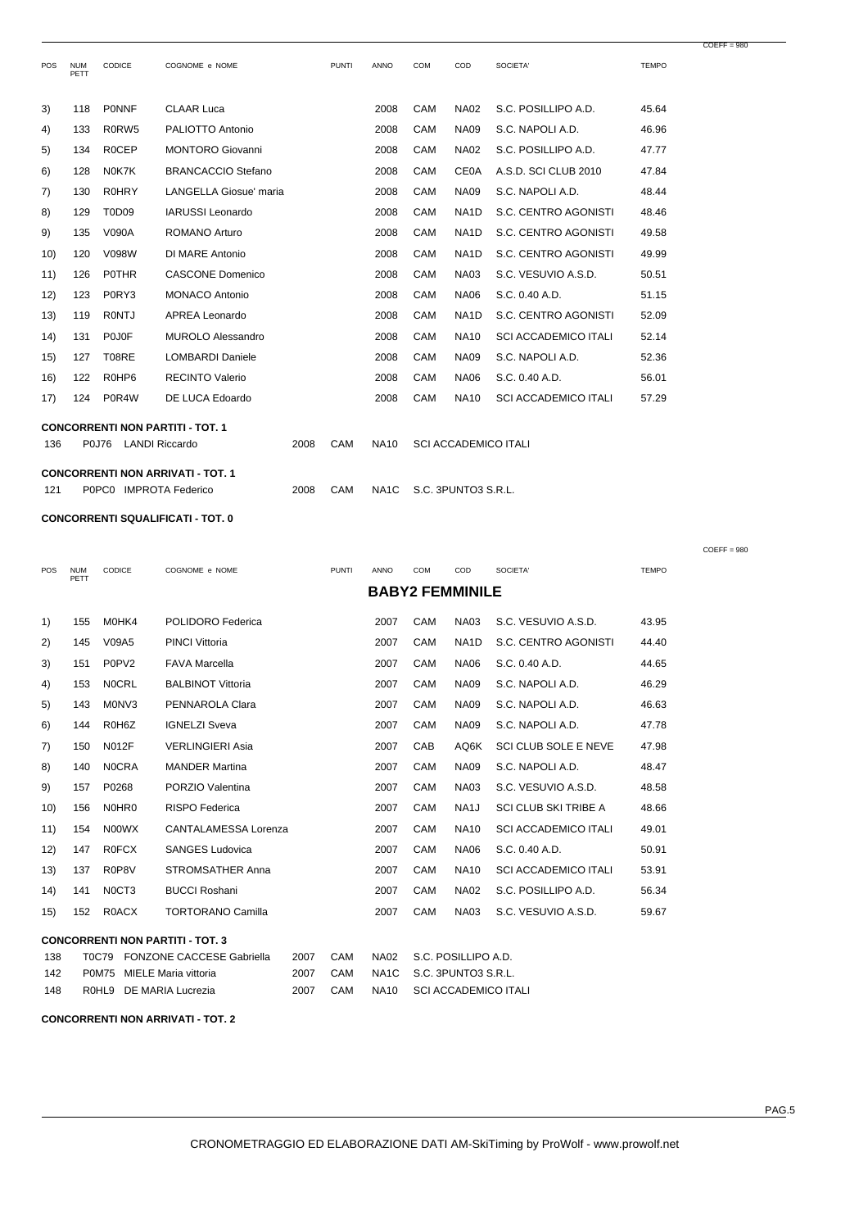| <b>POS</b> | <b>NUM</b><br>PETT | <b>CODICE</b>         | COGNOME e NOME                           |      | <b>PUNTI</b> | <b>ANNO</b> | <b>COM</b> | COD                         | SOCIETA'                    | <b>TEMPO</b> |
|------------|--------------------|-----------------------|------------------------------------------|------|--------------|-------------|------------|-----------------------------|-----------------------------|--------------|
| 3)         | 118                | <b>PONNF</b>          | <b>CLAAR Luca</b>                        |      |              | 2008        | CAM        | <b>NA02</b>                 | S.C. POSILLIPO A.D.         | 45.64        |
| 4)         | 133                | R0RW5                 | PALIOTTO Antonio                         |      |              | 2008        | CAM        | <b>NA09</b>                 | S.C. NAPOLI A.D.            | 46.96        |
| 5)         | 134                | <b>ROCEP</b>          | <b>MONTORO Giovanni</b>                  |      |              | 2008        | CAM        | <b>NA02</b>                 | S.C. POSILLIPO A.D.         | 47.77        |
| 6)         | 128                | N0K7K                 | BRANCACCIO Stefano                       |      |              | 2008        | CAM        | <b>CE0A</b>                 | A.S.D. SCI CLUB 2010        | 47.84        |
| 7)         | 130                | <b>R0HRY</b>          | LANGELLA Giosue' maria                   |      |              | 2008        | CAM        | <b>NA09</b>                 | S.C. NAPOLI A.D.            | 48.44        |
| 8)         | 129                | <b>T0D09</b>          | <b>IARUSSI</b> Leonardo                  |      |              | 2008        | CAM        | NA <sub>1</sub> D           | S.C. CENTRO AGONISTI        | 48.46        |
| 9)         | 135                | <b>V090A</b>          | <b>ROMANO Arturo</b>                     |      |              | 2008        | CAM        | NA <sub>1</sub> D           | S.C. CENTRO AGONISTI        | 49.58        |
| 10)        | 120                | V098W                 | DI MARE Antonio                          |      |              | 2008        | CAM        | NA <sub>1</sub> D           | S.C. CENTRO AGONISTI        | 49.99        |
| 11)        | 126                | <b>POTHR</b>          | <b>CASCONE Domenico</b>                  |      |              | 2008        | CAM        | <b>NA03</b>                 | S.C. VESUVIO A.S.D.         | 50.51        |
| 12)        | 123                | P0RY3                 | <b>MONACO Antonio</b>                    |      |              | 2008        | CAM        | <b>NA06</b>                 | S.C. 0.40 A.D.              | 51.15        |
| (13)       | 119                | <b>RONTJ</b>          | APREA Leonardo                           |      |              | 2008        | CAM        | NA <sub>1</sub> D           | S.C. CENTRO AGONISTI        | 52.09        |
| (14)       | 131                | P0J0F                 | MUROLO Alessandro                        |      |              | 2008        | CAM        | <b>NA10</b>                 | <b>SCI ACCADEMICO ITALI</b> | 52.14        |
| 15)        | 127                | T08RE                 | <b>LOMBARDI Daniele</b>                  |      |              | 2008        | CAM        | <b>NA09</b>                 | S.C. NAPOLI A.D.            | 52.36        |
| 16)        | 122                | R0HP6                 | <b>RECINTO Valerio</b>                   |      |              | 2008        | CAM        | <b>NA06</b>                 | S.C. 0.40 A.D.              | 56.01        |
| 17)        | 124                | P0R4W                 | DE LUCA Edoardo                          |      |              | 2008        | CAM        | <b>NA10</b>                 | <b>SCI ACCADEMICO ITALI</b> | 57.29        |
| 136        | <b>P0J76</b>       | <b>LANDI Riccardo</b> | <b>CONCORRENTI NON PARTITI - TOT. 1</b>  | 2008 | CAM          | <b>NA10</b> |            | <b>SCI ACCADEMICO ITALI</b> |                             |              |
|            |                    |                       | <b>CONCORRENTI NON ARRIVATI - TOT. 1</b> |      |              |             |            |                             |                             |              |

121 P0PC0 IMPROTA Federico 2008 CAM NA1C S.C. 3PUNTO3 S.R.L.

## **CONCORRENTI SQUALIFICATI - TOT. 0**

|      |                    |                   |                                         |              |                        |            |                   |                             |              | $COEFF = 980$ |
|------|--------------------|-------------------|-----------------------------------------|--------------|------------------------|------------|-------------------|-----------------------------|--------------|---------------|
| POS  | <b>NUM</b><br>PETT | CODICE            | COGNOME e NOME                          | <b>PUNTI</b> | <b>ANNO</b>            | COM        | COD               | SOCIETA'                    | <b>TEMPO</b> |               |
|      |                    |                   |                                         |              | <b>BABY2 FEMMINILE</b> |            |                   |                             |              |               |
| 1)   | 155                | M0HK4             | POLIDORO Federica                       |              | 2007                   | CAM        | <b>NA03</b>       | S.C. VESUVIO A.S.D.         | 43.95        |               |
| 2)   | 145                | V09A5             | <b>PINCI Vittoria</b>                   |              | 2007                   | CAM        | NA <sub>1</sub> D | S.C. CENTRO AGONISTI        | 44.40        |               |
| 3)   | 151                | P0PV <sub>2</sub> | <b>FAVA Marcella</b>                    |              | 2007                   | CAM        | <b>NA06</b>       | S.C. 0.40 A.D.              | 44.65        |               |
| 4)   | 153                | <b>NOCRL</b>      | <b>BALBINOT Vittoria</b>                |              | 2007                   | CAM        | <b>NA09</b>       | S.C. NAPOLI A.D.            | 46.29        |               |
| 5)   | 143                | M0NV3             | PENNAROLA Clara                         |              | 2007                   | CAM        | <b>NA09</b>       | S.C. NAPOLI A.D.            | 46.63        |               |
| 6)   | 144                | R0H6Z             | <b>IGNELZI Sveva</b>                    |              | 2007                   | <b>CAM</b> | <b>NA09</b>       | S.C. NAPOLI A.D.            | 47.78        |               |
| 7)   | 150                | <b>N012F</b>      | <b>VERLINGIERI Asia</b>                 |              | 2007                   | CAB        | AQ6K              | <b>SCI CLUB SOLE E NEVE</b> | 47.98        |               |
| 8)   | 140                | <b>NOCRA</b>      | <b>MANDER Martina</b>                   |              | 2007                   | CAM        | <b>NA09</b>       | S.C. NAPOLI A.D.            | 48.47        |               |
| 9)   | 157                | P0268             | PORZIO Valentina                        |              | 2007                   | CAM        | <b>NA03</b>       | S.C. VESUVIO A.S.D.         | 48.58        |               |
| 10)  | 156                | N0HR0             | <b>RISPO Federica</b>                   |              | 2007                   | <b>CAM</b> | NA <sub>1</sub> J | <b>SCI CLUB SKI TRIBE A</b> | 48.66        |               |
| 11)  | 154                | N00WX             | <b>CANTALAMESSA Lorenza</b>             |              | 2007                   | CAM        | <b>NA10</b>       | <b>SCI ACCADEMICO ITALI</b> | 49.01        |               |
| 12)  | 147                | <b>ROFCX</b>      | <b>SANGES Ludovica</b>                  |              | 2007                   | CAM        | <b>NA06</b>       | S.C. 0.40 A.D.              | 50.91        |               |
| (13) | 137                | R0P8V             | <b>STROMSATHER Anna</b>                 |              | 2007                   | <b>CAM</b> | <b>NA10</b>       | <b>SCI ACCADEMICO ITALI</b> | 53.91        |               |
| (14) | 141                | N0CT3             | <b>BUCCI Roshani</b>                    |              | 2007                   | CAM        | <b>NA02</b>       | S.C. POSILLIPO A.D.         | 56.34        |               |
| 15)  | 152                | <b>R0ACX</b>      | <b>TORTORANO Camilla</b>                |              | 2007                   | <b>CAM</b> | <b>NA03</b>       | S.C. VESUVIO A.S.D.         | 59.67        |               |
|      |                    |                   | <b>CONCORRENTI NON PARTITI - TOT. 3</b> |              |                        |            |                   |                             |              |               |

| 138 | TOC79 FONZONE CACCESE Gabriella | 2007 | CAM      | NA02 S.C. POSILLIPO A.D.  |
|-----|---------------------------------|------|----------|---------------------------|
| 142 | P0M75 MIELE Maria vittoria      |      | 2007 CAM | NA1C S.C. 3PUNTO3 S.R.L.  |
| 148 | ROHL9 DE MARIA Lucrezia         | 2007 | CAM      | NA10 SCI ACCADEMICO ITALI |

**CONCORRENTI NON ARRIVATI - TOT. 2**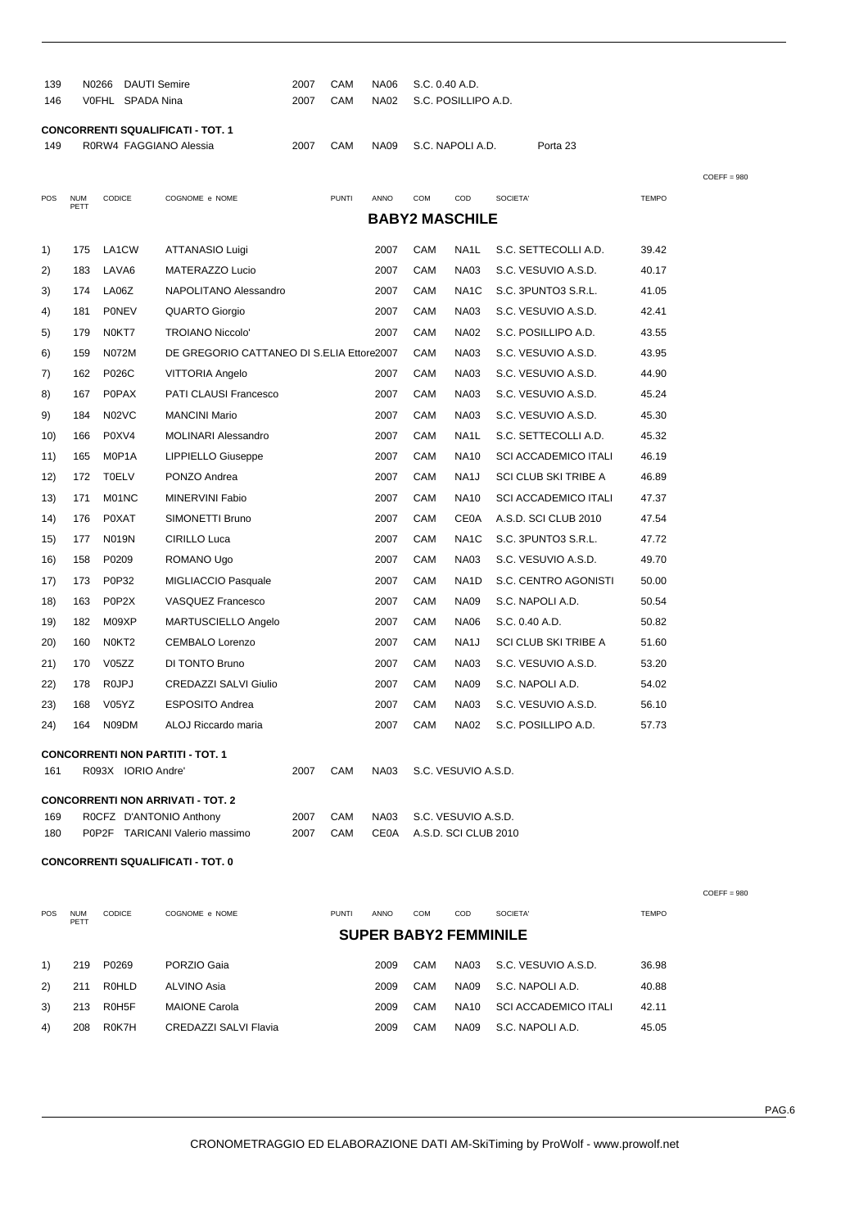| 139<br>146                               |                                          | N0266 DAUTI Semire<br>V0FHL SPADA Nina |                                           | 2007<br>2007 | CAM<br>CAM   | <b>NA06</b><br><b>NA02</b> | S.C. 0.40 A.D.                              | S.C. POSILLIPO A.D. |                             |              |               |
|------------------------------------------|------------------------------------------|----------------------------------------|-------------------------------------------|--------------|--------------|----------------------------|---------------------------------------------|---------------------|-----------------------------|--------------|---------------|
| <b>CONCORRENTI SQUALIFICATI - TOT. 1</b> |                                          |                                        |                                           |              |              |                            |                                             |                     |                             |              |               |
| 149                                      | R0RW4 FAGGIANO Alessia                   |                                        |                                           |              | CAM          | <b>NA09</b>                | S.C. NAPOLI A.D.<br>Porta 23                |                     |                             |              |               |
|                                          |                                          |                                        |                                           |              |              |                            |                                             |                     |                             |              |               |
| POS                                      | <b>NUM</b>                               | CODICE                                 | COGNOME e NOME                            |              | <b>PUNTI</b> | ANNO                       | COM                                         | COD                 | SOCIETA'                    | <b>TEMPO</b> | $COEFF = 980$ |
|                                          | PETT                                     |                                        |                                           |              |              |                            | <b>BABY2 MASCHILE</b>                       |                     |                             |              |               |
|                                          |                                          |                                        |                                           |              |              |                            |                                             |                     |                             |              |               |
| 1)                                       | 175                                      | LA1CW                                  | ATTANASIO Luigi                           |              |              | 2007                       | CAM                                         | NA1L                | S.C. SETTECOLLI A.D.        | 39.42        |               |
| 2)                                       | 183                                      | LAVA <sub>6</sub>                      | MATERAZZO Lucio                           |              |              | 2007                       | CAM                                         | <b>NA03</b>         | S.C. VESUVIO A.S.D.         | 40.17        |               |
| 3)                                       | 174                                      | LA06Z                                  | NAPOLITANO Alessandro                     |              |              | 2007                       | CAM                                         | NA <sub>1</sub> C   | S.C. 3PUNTO3 S.R.L.         | 41.05        |               |
| 4)                                       | 181                                      | PONEV                                  | QUARTO Giorgio                            |              |              | 2007                       | CAM                                         | <b>NA03</b>         | S.C. VESUVIO A.S.D.         | 42.41        |               |
| 5)                                       | 179                                      | N0KT7                                  | TROIANO Niccolo'                          |              |              | 2007                       | CAM                                         | NA02                | S.C. POSILLIPO A.D.         | 43.55        |               |
| 6)                                       | 159                                      | N072M                                  | DE GREGORIO CATTANEO DI S.ELIA Ettore2007 |              |              |                            | CAM                                         | <b>NA03</b>         | S.C. VESUVIO A.S.D.         | 43.95        |               |
| 7)                                       | 162                                      | P026C                                  | VITTORIA Angelo                           |              |              | 2007                       | CAM                                         | NA03                | S.C. VESUVIO A.S.D.         | 44.90        |               |
| 8)                                       | 167                                      | <b>P0PAX</b>                           | PATI CLAUSI Francesco                     |              |              | 2007                       | CAM                                         | <b>NA03</b>         | S.C. VESUVIO A.S.D.         | 45.24        |               |
| 9)                                       | 184                                      | N02VC                                  | <b>MANCINI Mario</b>                      |              |              | 2007                       | CAM                                         | <b>NA03</b>         | S.C. VESUVIO A.S.D.         | 45.30        |               |
| 10)                                      | 166                                      | P0XV4                                  | MOLINARI Alessandro                       |              |              | 2007                       | CAM                                         | NA1L                | S.C. SETTECOLLI A.D.        | 45.32        |               |
| 11)                                      | 165                                      | M0P1A                                  | LIPPIELLO Giuseppe                        |              |              | 2007                       | CAM                                         | <b>NA10</b>         | <b>SCI ACCADEMICO ITALI</b> | 46.19        |               |
| 12)                                      | 172                                      | <b>T0ELV</b>                           | PONZO Andrea                              |              |              | 2007                       | CAM                                         | NA <sub>1</sub> J   | SCI CLUB SKI TRIBE A        | 46.89        |               |
| 13)                                      | 171                                      | M01NC                                  | MINERVINI Fabio                           |              |              | 2007                       | CAM                                         | <b>NA10</b>         | <b>SCI ACCADEMICO ITALI</b> | 47.37        |               |
| 14)                                      | 176                                      | P0XAT                                  | SIMONETTI Bruno                           |              |              | 2007                       | CAM                                         | <b>CE0A</b>         | A.S.D. SCI CLUB 2010        | 47.54        |               |
| 15)                                      | 177                                      | N019N                                  | CIRILLO Luca                              |              |              | 2007                       | CAM                                         | NA <sub>1</sub> C   | S.C. 3PUNTO3 S.R.L.         | 47.72        |               |
| 16)                                      | 158                                      | P0209                                  | ROMANO Ugo                                |              |              | 2007                       | CAM                                         | NA03                | S.C. VESUVIO A.S.D.         | 49.70        |               |
| 17)                                      | 173                                      | P0P32                                  | MIGLIACCIO Pasquale                       |              |              | 2007                       | CAM                                         | NA <sub>1</sub> D   | S.C. CENTRO AGONISTI        | 50.00        |               |
| 18)                                      | 163                                      | P0P2X                                  | VASQUEZ Francesco                         |              |              | 2007                       | CAM                                         | NA09                | S.C. NAPOLI A.D.            | 50.54        |               |
| 19)                                      | 182                                      | M09XP                                  | MARTUSCIELLO Angelo                       |              |              | 2007                       | CAM                                         | NA06                | S.C. 0.40 A.D.              | 50.82        |               |
| 20)                                      | 160                                      | N0KT2                                  | <b>CEMBALO Lorenzo</b>                    |              |              | 2007                       | CAM                                         | NA1J                | SCI CLUB SKI TRIBE A        | 51.60        |               |
| 21)                                      | 170                                      | V05ZZ                                  | DI TONTO Bruno                            |              |              | 2007                       | CAM                                         | <b>NA03</b>         | S.C. VESUVIO A.S.D.         | 53.20        |               |
| 22)                                      | 178                                      | R <sub>0</sub> JPJ                     | <b>CREDAZZI SALVI Giulio</b>              |              |              | 2007                       | CAM                                         | <b>NA09</b>         | S.C. NAPOLI A.D.            | 54.02        |               |
| 23)                                      | 168                                      | V05YZ                                  | <b>ESPOSITO Andrea</b>                    |              |              | 2007                       | CAM                                         | <b>NA03</b>         | S.C. VESUVIO A.S.D.         | 56.10        |               |
| 24)                                      |                                          | 164 N09DM                              | ALOJ Riccardo maria                       |              |              | 2007                       | CAM                                         | <b>NA02</b>         | S.C. POSILLIPO A.D.         | 57.73        |               |
|                                          |                                          |                                        | <b>CONCORRENTI NON PARTITI - TOT. 1</b>   |              |              |                            |                                             |                     |                             |              |               |
| 161                                      |                                          | R093X IORIO Andre'                     |                                           | 2007         | CAM          | <b>NA03</b>                |                                             | S.C. VESUVIO A.S.D. |                             |              |               |
|                                          |                                          |                                        |                                           |              |              |                            |                                             |                     |                             |              |               |
| 169                                      |                                          | ROCFZ D'ANTONIO Anthony                | <b>CONCORRENTI NON ARRIVATI - TOT. 2</b>  | 2007         | CAM          | <b>NA03</b>                |                                             |                     |                             |              |               |
| 180                                      |                                          |                                        | P0P2F TARICANI Valerio massimo            | 2007         | CAM          | <b>CE0A</b>                | S.C. VESUVIO A.S.D.<br>A.S.D. SCI CLUB 2010 |                     |                             |              |               |
|                                          | <b>CONCORRENTI SQUALIFICATI - TOT. 0</b> |                                        |                                           |              |              |                            |                                             |                     |                             |              |               |

| <b>POS</b> | <b>NUM</b><br>PETT | <b>CODICE</b> | COGNOME e NOME        | <b>PUNTI</b><br><b>ANNO</b>  | <b>COM</b> | COD         | SOCIETA'                    | <b>TEMPO</b> |
|------------|--------------------|---------------|-----------------------|------------------------------|------------|-------------|-----------------------------|--------------|
|            |                    |               |                       | <b>SUPER BABY2 FEMMINILE</b> |            |             |                             |              |
| 1)         | 219                | P0269         | PORZIO Gaia           | 2009                         | CAM        | NA03        | S.C. VESUVIO A.S.D.         | 36.98        |
| (2)        | 211                | ROHLD         | ALVINO Asia           | 2009                         | CAM        | NA09        | S.C. NAPOLI A.D.            | 40.88        |
| 3)         | 213                | R0H5F         | <b>MAIONE Carola</b>  | 2009                         | CAM        | <b>NA10</b> | <b>SCI ACCADEMICO ITALI</b> | 42.11        |
| 4)         | 208                | R0K7H         | CREDAZZI SALVI Flavia | 2009                         | CAM        | <b>NA09</b> | S.C. NAPOLI A.D.            | 45.05        |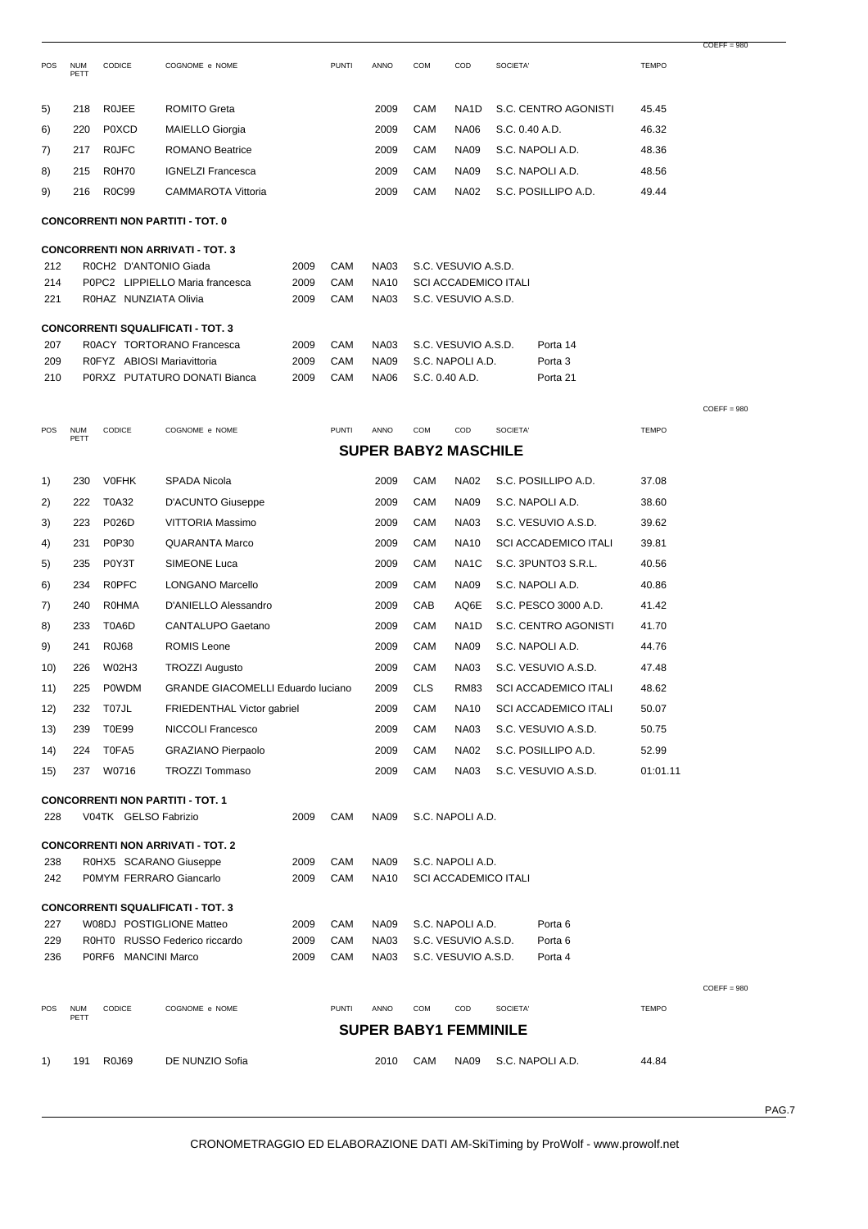| <b>POS</b> | <b>NUM</b><br>PETT | <b>CODICE</b>              | COGNOME e NOME                           |      | <b>PUNTI</b> | <b>ANNO</b> | COM            | COD                         | SOCIETA'       |                      | <b>TEMPO</b> |               |
|------------|--------------------|----------------------------|------------------------------------------|------|--------------|-------------|----------------|-----------------------------|----------------|----------------------|--------------|---------------|
| 5)         | 218                | <b>ROJEE</b>               | <b>ROMITO Greta</b>                      |      |              | 2009        | CAM            | NA <sub>1</sub> D           |                | S.C. CENTRO AGONISTI | 45.45        |               |
| 6)         | 220                | <b>POXCD</b>               | <b>MAIELLO Giorgia</b>                   |      |              | 2009        | CAM            | <b>NA06</b>                 | S.C. 0.40 A.D. |                      | 46.32        |               |
| 7)         | 217                | <b>ROJFC</b>               | <b>ROMANO Beatrice</b>                   |      |              | 2009        | CAM            | <b>NA09</b>                 |                | S.C. NAPOLI A.D.     | 48.36        |               |
| 8)         | 215                | <b>R0H70</b>               | <b>IGNELZI Francesca</b>                 |      |              | 2009        | CAM            | <b>NA09</b>                 |                | S.C. NAPOLI A.D.     | 48.56        |               |
| 9)         | 216                | <b>R0C99</b>               | <b>CAMMAROTA Vittoria</b>                |      |              | 2009        | CAM            | <b>NA02</b>                 |                | S.C. POSILLIPO A.D.  | 49.44        |               |
|            |                    |                            | <b>CONCORRENTI NON PARTITI - TOT. 0</b>  |      |              |             |                |                             |                |                      |              |               |
|            |                    |                            | <b>CONCORRENTI NON ARRIVATI - TOT. 3</b> |      |              |             |                |                             |                |                      |              |               |
| 212        |                    | R0CH2 D'ANTONIO Giada      |                                          | 2009 | CAM          | <b>NA03</b> |                | S.C. VESUVIO A.S.D.         |                |                      |              |               |
| 214        |                    |                            | P0PC2 LIPPIELLO Maria francesca          | 2009 | CAM          | <b>NA10</b> |                | <b>SCI ACCADEMICO ITALI</b> |                |                      |              |               |
| 221        |                    | R0HAZ NUNZIATA Olivia      |                                          | 2009 | CAM          | <b>NA03</b> |                | S.C. VESUVIO A.S.D.         |                |                      |              |               |
|            |                    |                            | <b>CONCORRENTI SQUALIFICATI - TOT. 3</b> |      |              |             |                |                             |                |                      |              |               |
| 207        |                    |                            | R0ACY TORTORANO Francesca                | 2009 | CAM          | <b>NA03</b> |                | S.C. VESUVIO A.S.D.         |                | Porta 14             |              |               |
| 209        |                    | R0FYZ ABIOSI Mariavittoria |                                          | 2009 | CAM          | <b>NA09</b> |                | S.C. NAPOLI A.D.            |                | Porta <sub>3</sub>   |              |               |
| 210        |                    |                            | P0RXZ PUTATURO DONATI Bianca             | 2009 | CAM          | <b>NA06</b> | S.C. 0.40 A.D. |                             |                | Porta 21             |              |               |
|            |                    |                            |                                          |      |              |             |                |                             |                |                      |              | $COEFF = 980$ |
| <b>POS</b> | <b>NUM</b>         | <b>CODICE</b>              | COGNOME e NOME                           |      | <b>PUNTI</b> | <b>ANNO</b> | COM            | COD                         | SOCIETA'       |                      | <b>TEMPO</b> |               |

POS NUM PETT

|     | <b>SUPER BABY2 MASCHILE</b> |                         |                                          |      |              |             |                              |                             |          |                             |              |               |
|-----|-----------------------------|-------------------------|------------------------------------------|------|--------------|-------------|------------------------------|-----------------------------|----------|-----------------------------|--------------|---------------|
| 1)  | 230                         | <b>V0FHK</b>            | <b>SPADA Nicola</b>                      |      |              | 2009        | CAM                          | <b>NA02</b>                 |          | S.C. POSILLIPO A.D.         | 37.08        |               |
| 2)  | 222                         | T0A32                   | D'ACUNTO Giuseppe                        |      |              | 2009        | CAM                          | <b>NA09</b>                 |          | S.C. NAPOLI A.D.            | 38.60        |               |
| 3)  | 223                         | P026D                   | VITTORIA Massimo                         |      |              | 2009        | CAM                          | <b>NA03</b>                 |          | S.C. VESUVIO A.S.D.         | 39.62        |               |
| 4)  | 231                         | P0P30                   | <b>QUARANTA Marco</b>                    |      |              | 2009        | CAM                          | <b>NA10</b>                 |          | <b>SCI ACCADEMICO ITALI</b> | 39.81        |               |
| 5)  | 235                         | P0Y3T                   | SIMEONE Luca                             |      |              | 2009        | CAM                          | NA <sub>1</sub> C           |          | S.C. 3PUNTO3 S.R.L.         | 40.56        |               |
| 6)  | 234                         | <b>ROPFC</b>            | LONGANO Marcello                         |      |              | 2009        | CAM                          | <b>NA09</b>                 |          | S.C. NAPOLI A.D.            | 40.86        |               |
| 7)  | 240                         | <b>ROHMA</b>            | D'ANIELLO Alessandro                     |      |              | 2009        | CAB                          | AQ6E                        |          | S.C. PESCO 3000 A.D.        | 41.42        |               |
| 8)  | 233                         | T0A6D                   | <b>CANTALUPO Gaetano</b>                 |      |              | 2009        | CAM                          | NA <sub>1</sub> D           |          | S.C. CENTRO AGONISTI        | 41.70        |               |
| 9)  | 241                         | <b>R0J68</b>            | <b>ROMIS Leone</b>                       |      |              | 2009        | CAM                          | <b>NA09</b>                 |          | S.C. NAPOLI A.D.            | 44.76        |               |
| 10) | 226                         | <b>W02H3</b>            | <b>TROZZI Augusto</b>                    |      |              | 2009        | CAM                          | <b>NA03</b>                 |          | S.C. VESUVIO A.S.D.         | 47.48        |               |
| 11) | 225                         | <b>POWDM</b>            | <b>GRANDE GIACOMELLI Eduardo luciano</b> |      |              | 2009        | <b>CLS</b>                   | <b>RM83</b>                 |          | <b>SCI ACCADEMICO ITALI</b> | 48.62        |               |
| 12) | 232                         | T07JL                   | FRIEDENTHAL Victor gabriel               |      |              | 2009        | CAM                          | <b>NA10</b>                 |          | <b>SCI ACCADEMICO ITALI</b> | 50.07        |               |
| 13) | 239                         | T0E99                   | NICCOLI Francesco                        |      |              | 2009        | CAM                          | <b>NA03</b>                 |          | S.C. VESUVIO A.S.D.         | 50.75        |               |
| 14) | 224                         | T0FA5                   | <b>GRAZIANO Pierpaolo</b>                |      |              | 2009        | CAM                          | <b>NA02</b>                 |          | S.C. POSILLIPO A.D.         | 52.99        |               |
| 15) | 237                         | W0716                   | <b>TROZZI Tommaso</b>                    |      |              | 2009        | CAM                          | <b>NA03</b>                 |          | S.C. VESUVIO A.S.D.         | 01:01.11     |               |
|     |                             |                         | <b>CONCORRENTI NON PARTITI - TOT. 1</b>  |      |              |             |                              |                             |          |                             |              |               |
| 228 |                             | V04TK GELSO Fabrizio    |                                          | 2009 | CAM          | <b>NA09</b> |                              | S.C. NAPOLI A.D.            |          |                             |              |               |
|     |                             |                         | <b>CONCORRENTI NON ARRIVATI - TOT. 2</b> |      |              |             |                              |                             |          |                             |              |               |
| 238 |                             | R0HX5 SCARANO Giuseppe  |                                          | 2009 | CAM          | <b>NA09</b> | S.C. NAPOLI A.D.             |                             |          |                             |              |               |
| 242 |                             | P0MYM FERRARO Giancarlo |                                          | 2009 | CAM          | <b>NA10</b> |                              | <b>SCI ACCADEMICO ITALI</b> |          |                             |              |               |
|     |                             |                         | <b>CONCORRENTI SQUALIFICATI - TOT. 3</b> |      |              |             |                              |                             |          |                             |              |               |
| 227 |                             |                         | W08DJ POSTIGLIONE Matteo                 | 2009 | CAM          | <b>NA09</b> |                              | S.C. NAPOLI A.D.            |          | Porta <sub>6</sub>          |              |               |
| 229 |                             |                         | R0HT0 RUSSO Federico riccardo            | 2009 | CAM          | <b>NA03</b> |                              | S.C. VESUVIO A.S.D.         |          | Porta <sub>6</sub>          |              |               |
| 236 |                             | P0RF6 MANCINI Marco     |                                          | 2009 | CAM          | <b>NA03</b> |                              | S.C. VESUVIO A.S.D.         |          | Porta 4                     |              |               |
|     |                             |                         |                                          |      |              |             |                              |                             |          |                             |              | $COEFF = 980$ |
| POS | <b>NUM</b><br>PETT          | CODICE                  | COGNOME e NOME                           |      | <b>PUNTI</b> | <b>ANNO</b> | COM                          | COD                         | SOCIETA' |                             | <b>TEMPO</b> |               |
|     |                             |                         |                                          |      |              |             | <b>SUPER BABY1 FEMMINILE</b> |                             |          |                             |              |               |
| 1)  | 191                         | R0J69                   | DE NUNZIO Sofia                          |      |              | 2010        | <b>CAM</b>                   | <b>NA09</b>                 |          | S.C. NAPOLI A.D.            | 44.84        |               |

PAG.7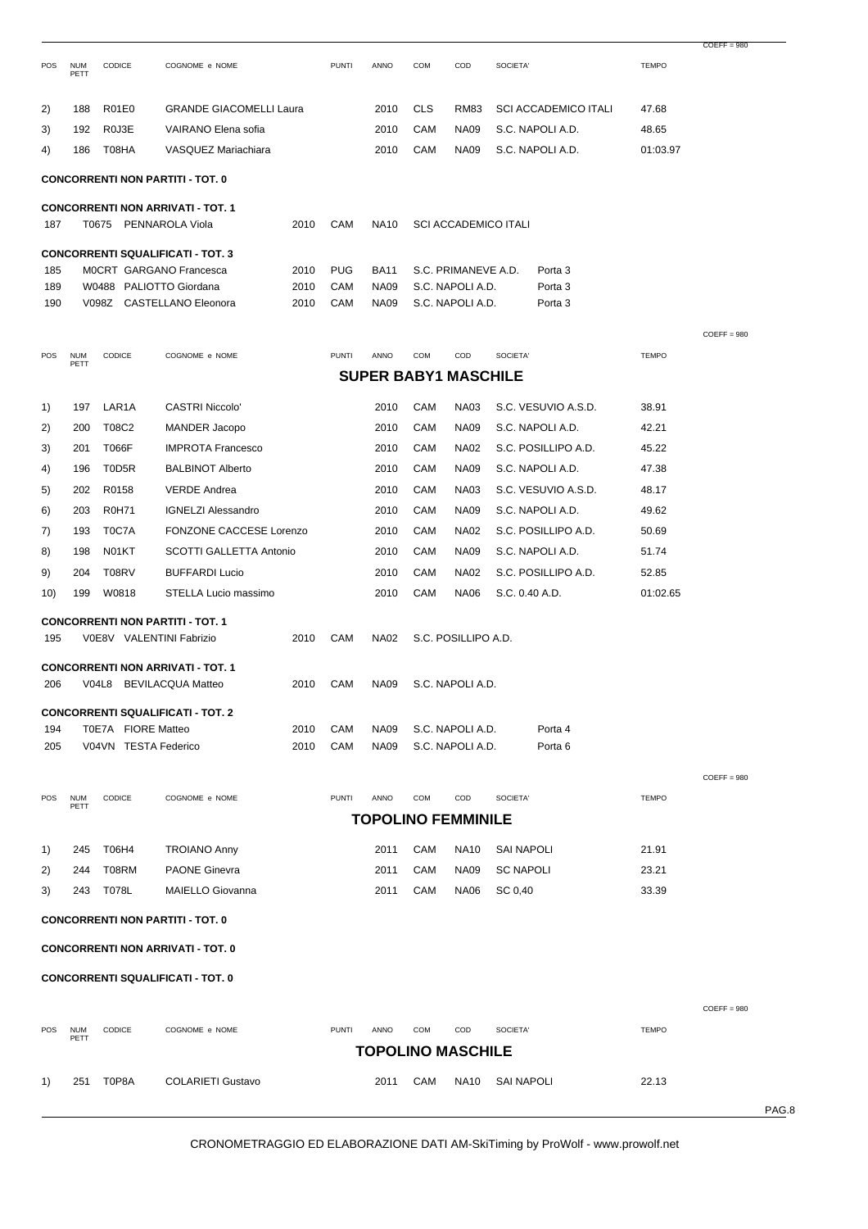|     |                    |                      |                                                                     |      |              |             |            |                             |                   |                             |              | $COEFF = 980$ |       |
|-----|--------------------|----------------------|---------------------------------------------------------------------|------|--------------|-------------|------------|-----------------------------|-------------------|-----------------------------|--------------|---------------|-------|
| POS | <b>NUM</b><br>PETT | CODICE               | COGNOME e NOME                                                      |      | <b>PUNTI</b> | ANNO        | COM        | COD                         | SOCIETA'          |                             | <b>TEMPO</b> |               |       |
| 2)  | 188                | R01E0                | <b>GRANDE GIACOMELLI Laura</b>                                      |      |              | 2010        | <b>CLS</b> | RM83                        |                   | <b>SCI ACCADEMICO ITALI</b> | 47.68        |               |       |
| 3)  | 192                | R0J3E                | VAIRANO Elena sofia                                                 |      |              | 2010        | CAM        | <b>NA09</b>                 |                   | S.C. NAPOLI A.D.            | 48.65        |               |       |
| 4)  | 186                | T08HA                | VASQUEZ Mariachiara                                                 |      |              | 2010        | CAM        | NA09                        |                   | S.C. NAPOLI A.D.            | 01:03.97     |               |       |
|     |                    |                      | <b>CONCORRENTI NON PARTITI - TOT. 0</b>                             |      |              |             |            |                             |                   |                             |              |               |       |
|     |                    |                      | <b>CONCORRENTI NON ARRIVATI - TOT. 1</b>                            |      |              |             |            |                             |                   |                             |              |               |       |
| 187 |                    | T0675                | PENNAROLA Viola                                                     | 2010 | CAM          | <b>NA10</b> |            | <b>SCI ACCADEMICO ITALI</b> |                   |                             |              |               |       |
|     |                    |                      |                                                                     |      |              |             |            |                             |                   |                             |              |               |       |
| 185 |                    |                      | <b>CONCORRENTI SQUALIFICATI - TOT. 3</b><br>MOCRT GARGANO Francesca | 2010 | <b>PUG</b>   | <b>BA11</b> |            | S.C. PRIMANEVE A.D.         |                   | Porta <sub>3</sub>          |              |               |       |
| 189 |                    |                      | W0488 PALIOTTO Giordana                                             | 2010 | CAM          | <b>NA09</b> |            | S.C. NAPOLI A.D.            |                   | Porta <sub>3</sub>          |              |               |       |
| 190 |                    |                      | V098Z CASTELLANO Eleonora                                           | 2010 | CAM          | <b>NA09</b> |            | S.C. NAPOLI A.D.            |                   | Porta 3                     |              |               |       |
|     |                    |                      |                                                                     |      |              |             |            |                             |                   |                             |              | $COEFF = 980$ |       |
| POS | <b>NUM</b><br>PETT | CODICE               | COGNOME e NOME                                                      |      | <b>PUNTI</b> | ANNO        | <b>COM</b> | COD                         | SOCIETA'          |                             | <b>TEMPO</b> |               |       |
|     |                    |                      |                                                                     |      |              |             |            | <b>SUPER BABY1 MASCHILE</b> |                   |                             |              |               |       |
| 1)  | 197                | LAR1A                | <b>CASTRI Niccolo'</b>                                              |      |              | 2010        | CAM        | <b>NA03</b>                 |                   | S.C. VESUVIO A.S.D.         | 38.91        |               |       |
| 2)  | 200                | T08C2                | MANDER Jacopo                                                       |      |              | 2010        | CAM        | <b>NA09</b>                 |                   | S.C. NAPOLI A.D.            | 42.21        |               |       |
| 3)  | 201                | T066F                | <b>IMPROTA Francesco</b>                                            |      |              | 2010        | CAM        | <b>NA02</b>                 |                   | S.C. POSILLIPO A.D.         | 45.22        |               |       |
| 4)  | 196                | T0D5R                | <b>BALBINOT Alberto</b>                                             |      |              | 2010        | CAM        | <b>NA09</b>                 |                   | S.C. NAPOLI A.D.            | 47.38        |               |       |
| 5)  | 202                | R0158                | <b>VERDE Andrea</b>                                                 |      |              | 2010        | CAM        | <b>NA03</b>                 |                   | S.C. VESUVIO A.S.D.         | 48.17        |               |       |
| 6)  | 203                | R0H71                | <b>IGNELZI Alessandro</b>                                           |      |              | 2010        | CAM        | <b>NA09</b>                 |                   | S.C. NAPOLI A.D.            | 49.62        |               |       |
| 7)  | 193                | T0C7A                | FONZONE CACCESE Lorenzo                                             |      |              | 2010        | CAM        | <b>NA02</b>                 |                   | S.C. POSILLIPO A.D.         | 50.69        |               |       |
| 8)  | 198                | N01KT                | SCOTTI GALLETTA Antonio                                             |      |              | 2010        | CAM        | <b>NA09</b>                 |                   | S.C. NAPOLI A.D.            | 51.74        |               |       |
| 9)  | 204                | T08RV                | <b>BUFFARDI Lucio</b>                                               |      |              | 2010        | CAM        | <b>NA02</b>                 |                   | S.C. POSILLIPO A.D.         | 52.85        |               |       |
| 10) | 199                | W0818                | STELLA Lucio massimo                                                |      |              | 2010        | CAM        | <b>NA06</b>                 | S.C. 0.40 A.D.    |                             | 01:02.65     |               |       |
|     |                    |                      | <b>CONCORRENTI NON PARTITI - TOT. 1</b>                             |      |              |             |            |                             |                   |                             |              |               |       |
| 195 |                    |                      | V0E8V VALENTINI Fabrizio                                            | 2010 | CAM          | <b>NA02</b> |            | S.C. POSILLIPO A.D.         |                   |                             |              |               |       |
|     |                    |                      |                                                                     |      |              |             |            |                             |                   |                             |              |               |       |
| 206 |                    |                      | <b>CONCORRENTI NON ARRIVATI - TOT. 1</b><br>V04L8 BEVILACQUA Matteo | 2010 | CAM          | <b>NA09</b> |            | S.C. NAPOLI A.D.            |                   |                             |              |               |       |
|     |                    |                      |                                                                     |      |              |             |            |                             |                   |                             |              |               |       |
| 194 |                    | T0E7A FIORE Matteo   | <b>CONCORRENTI SQUALIFICATI - TOT. 2</b>                            | 2010 | CAM          | <b>NA09</b> |            | S.C. NAPOLI A.D.            |                   | Porta 4                     |              |               |       |
| 205 |                    | V04VN TESTA Federico |                                                                     | 2010 | CAM          | <b>NA09</b> |            | S.C. NAPOLI A.D.            |                   | Porta <sub>6</sub>          |              |               |       |
|     |                    |                      |                                                                     |      |              |             |            |                             |                   |                             |              |               |       |
|     |                    |                      |                                                                     |      |              |             |            |                             |                   |                             |              | $COEFF = 980$ |       |
| POS | <b>NUM</b><br>PETT | CODICE               | COGNOME e NOME                                                      |      | <b>PUNTI</b> | ANNO        | <b>COM</b> | COD                         | SOCIETA'          |                             | <b>TEMPO</b> |               |       |
|     |                    |                      |                                                                     |      |              |             |            | <b>TOPOLINO FEMMINILE</b>   |                   |                             |              |               |       |
| 1)  | 245                | T06H4                | <b>TROIANO Anny</b>                                                 |      |              | 2011        | CAM        | <b>NA10</b>                 | <b>SAI NAPOLI</b> |                             | 21.91        |               |       |
| 2)  | 244                | T08RM                | <b>PAONE Ginevra</b>                                                |      |              | 2011        | CAM        | <b>NA09</b>                 | <b>SC NAPOLI</b>  |                             | 23.21        |               |       |
| 3)  | 243                | T078L                | MAIELLO Giovanna                                                    |      |              | 2011        | CAM        | <b>NA06</b>                 | SC 0,40           |                             | 33.39        |               |       |
|     |                    |                      | <b>CONCORRENTI NON PARTITI - TOT. 0</b>                             |      |              |             |            |                             |                   |                             |              |               |       |
|     |                    |                      | <b>CONCORRENTI NON ARRIVATI - TOT. 0</b>                            |      |              |             |            |                             |                   |                             |              |               |       |
|     |                    |                      | <b>CONCORRENTI SQUALIFICATI - TOT. 0</b>                            |      |              |             |            |                             |                   |                             |              |               |       |
|     |                    |                      |                                                                     |      |              |             |            |                             |                   |                             |              |               |       |
| POS | <b>NUM</b>         | CODICE               | COGNOME e NOME                                                      |      | <b>PUNTI</b> | ANNO        | <b>COM</b> | COD                         | <b>SOCIETA'</b>   |                             | <b>TEMPO</b> | $COEFF = 980$ |       |
|     | PETT               |                      |                                                                     |      |              |             |            | <b>TOPOLINO MASCHILE</b>    |                   |                             |              |               |       |
| 1)  | 251                | T0P8A                | <b>COLARIETI Gustavo</b>                                            |      |              | 2011        | CAM        | <b>NA10</b>                 | <b>SAI NAPOLI</b> |                             | 22.13        |               |       |
|     |                    |                      |                                                                     |      |              |             |            |                             |                   |                             |              |               | PAG.8 |
|     |                    |                      |                                                                     |      |              |             |            |                             |                   |                             |              |               |       |

CRONOMETRAGGIO ED ELABORAZIONE DATI AM-SkiTiming by ProWolf - www.prowolf.net